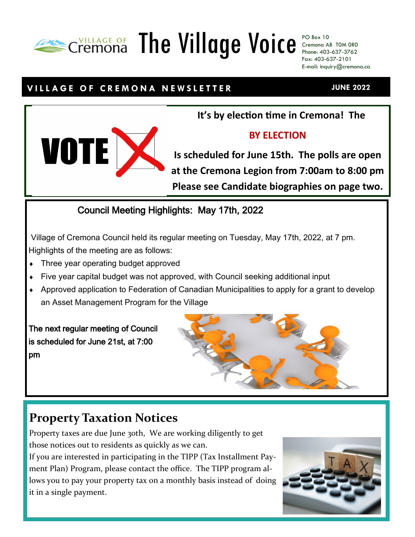# The Village Voice PO Box 10

Cremona AB T0M 0R0 Phone: 403-637-3762 Fax: 403-637-2101 E-mail: inquiry@cremona.ca

### **V I L L A G E O F C R E M O N A N E W S L E T T E R**

**It's by election time in Cremona! The** 

#### **BY ELECTION**

**Is scheduled for June 15th. The polls are open at the Cremona Legion from 7:00am to 8:00 pm Please see Candidate biographies on page two.**

#### Council Meeting Highlights: May 17th, 2022

Village of Cremona Council held its regular meeting on Tuesday, May 17th, 2022, at 7 pm. Highlights of the meeting are as follows:

- Three year operating budget approved
- Five year capital budget was not approved, with Council seeking additional input
- Approved application to Federation of Canadian Municipalities to apply for a grant to develop an Asset Management Program for the Village

The next regular meeting of Council is scheduled for June 21st, at 7:00 pm

## **Property Taxation Notices**

Property taxes are due June 30th, We are working diligently to get those notices out to residents as quickly as we can.

If you are interested in participating in the TIPP (Tax Installment Payment Plan) Program, please contact the office. The TIPP program allows you to pay your property tax on a monthly basis instead of doing it in a single payment.